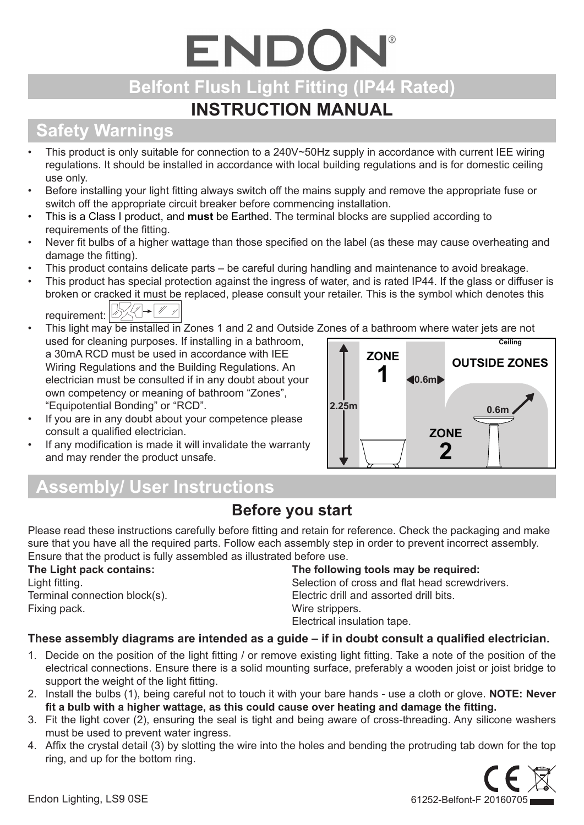# ENDON **Belfont Flush Light Fitting (IP44 Rated)**

## **INSTRUCTION MANUAL**

# **Safety Warnings**

- This product is only suitable for connection to a 240V~50Hz supply in accordance with current IEE wiring regulations. It should be installed in accordance with local building regulations and is for domestic ceiling use only.
- Before installing your light fitting always switch off the mains supply and remove the appropriate fuse or switch off the appropriate circuit breaker before commencing installation.
- This is a Class I product, and **must** be Earthed. The terminal blocks are supplied according to requirements of the fitting.
- Never fit bulbs of a higher wattage than those specified on the label (as these may cause overheating and damage the fitting).
- This product contains delicate parts be careful during handling and maintenance to avoid breakage.
- This product has special protection against the ingress of water, and is rated IP44. If the glass or diffuser is broken or cracked it must be replaced, please consult your retailer. This is the symbol which denotes this requirement: **BAR**  $\blacktriangleright$  // /
- This light may be installed in Zones 1 and 2 and Outside Zones of a bathroom where water jets are not used for cleaning purposes. If installing in a bathroom, a 30mA RCD must be used in accordance with IEE Wiring Regulations and the Building Regulations. An electrician must be consulted if in any doubt about your own competency or meaning of bathroom "Zones", "Equipotential Bonding" or "RCD".
- If you are in any doubt about your competence please consult a qualified electrician.
- If any modification is made it will invalidate the warranty and may render the product unsafe.



# **Assembly/ User Instructions**

## **Before you start**

Please read these instructions carefully before fitting and retain for reference. Check the packaging and make sure that you have all the required parts. Follow each assembly step in order to prevent incorrect assembly. Ensure that the product is fully assembled as illustrated before use.

#### **The Light pack contains:**

Light fitting. Terminal connection block(s). Fixing pack.

#### **The following tools may be required:**

Selection of cross and flat head screwdrivers. Electric drill and assorted drill bits. Wire strippers. Electrical insulation tape.

### **These assembly diagrams are intended as a guide – if in doubt consult a qualified electrician.**

- 1. Decide on the position of the light fitting / or remove existing light fitting. Take a note of the position of the electrical connections. Ensure there is a solid mounting surface, preferably a wooden joist or joist bridge to support the weight of the light fitting.
- 2. Install the bulbs (1), being careful not to touch it with your bare hands use a cloth or glove. **NOTE: Never fit a bulb with a higher wattage, as this could cause over heating and damage the fitting.**
- 3. Fit the light cover (2), ensuring the seal is tight and being aware of cross-threading. Any silicone washers must be used to prevent water ingress.
- 4. Affix the crystal detail (3) by slotting the wire into the holes and bending the protruding tab down for the top ring, and up for the bottom ring.